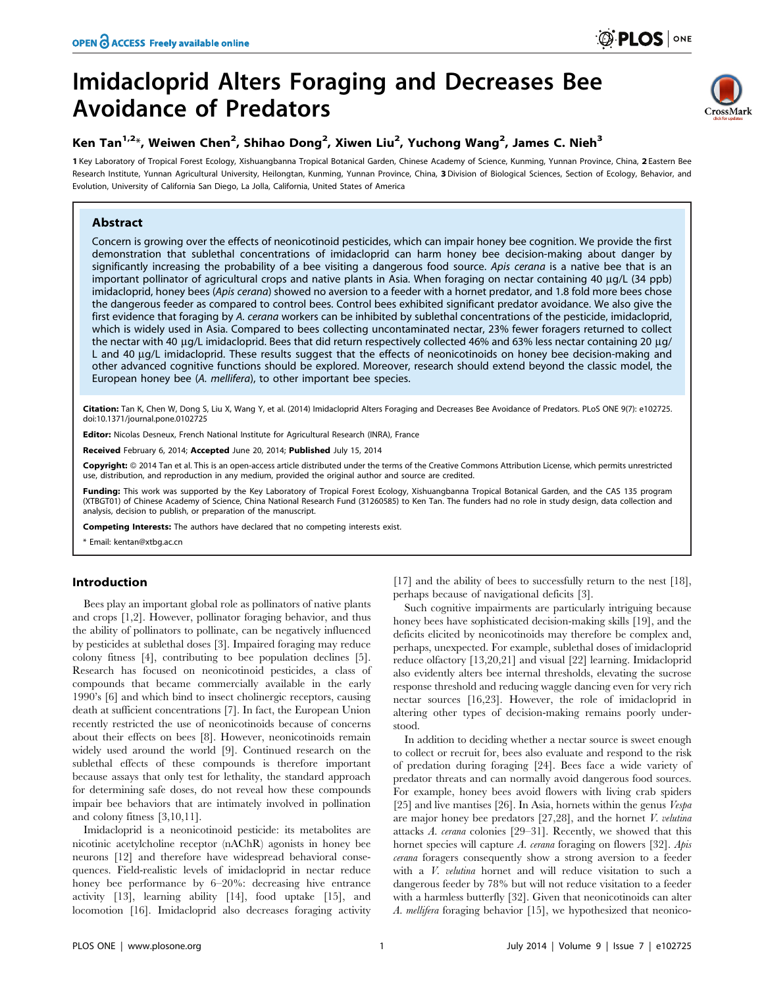# Imidacloprid Alters Foraging and Decreases Bee Avoidance of Predators



# Ken Tan<sup>1,2</sup>\*, Weiwen Chen<sup>2</sup>, Shihao Dong<sup>2</sup>, Xiwen Liu<sup>2</sup>, Yuchong Wang<sup>2</sup>, James C. Nieh<sup>3</sup>

1 Key Laboratory of Tropical Forest Ecology, Xishuangbanna Tropical Botanical Garden, Chinese Academy of Science, Kunming, Yunnan Province, China, 2 Eastern Bee Research Institute, Yunnan Agricultural University, Heilongtan, Kunming, Yunnan Province, China, 3 Division of Biological Sciences, Section of Ecology, Behavior, and Evolution, University of California San Diego, La Jolla, California, United States of America

# Abstract

Concern is growing over the effects of neonicotinoid pesticides, which can impair honey bee cognition. We provide the first demonstration that sublethal concentrations of imidacloprid can harm honey bee decision-making about danger by significantly increasing the probability of a bee visiting a dangerous food source. Apis cerana is a native bee that is an important pollinator of agricultural crops and native plants in Asia. When foraging on nectar containing 40 µg/L (34 ppb) imidacloprid, honey bees (Apis cerana) showed no aversion to a feeder with a hornet predator, and 1.8 fold more bees chose the dangerous feeder as compared to control bees. Control bees exhibited significant predator avoidance. We also give the first evidence that foraging by A. cerana workers can be inhibited by sublethal concentrations of the pesticide, imidacloprid, which is widely used in Asia. Compared to bees collecting uncontaminated nectar, 23% fewer foragers returned to collect the nectar with 40 µg/L imidacloprid. Bees that did return respectively collected 46% and 63% less nectar containing 20 µg/ L and 40 µg/L imidacloprid. These results suggest that the effects of neonicotinoids on honey bee decision-making and other advanced cognitive functions should be explored. Moreover, research should extend beyond the classic model, the European honey bee (A. mellifera), to other important bee species.

Citation: Tan K, Chen W, Dong S, Liu X, Wang Y, et al. (2014) Imidacloprid Alters Foraging and Decreases Bee Avoidance of Predators. PLoS ONE 9(7): e102725. doi:10.1371/journal.pone.0102725

Editor: Nicolas Desneux, French National Institute for Agricultural Research (INRA), France

Received February 6, 2014; Accepted June 20, 2014; Published July 15, 2014

Copyright: @ 2014 Tan et al. This is an open-access article distributed under the terms of the [Creative Commons Attribution License,](http://creativecommons.org/licenses/by/4.0/) which permits unrestricted use, distribution, and reproduction in any medium, provided the original author and source are credited.

Funding: This work was supported by the Key Laboratory of Tropical Forest Ecology, Xishuangbanna Tropical Botanical Garden, and the CAS 135 program (XTBGT01) of Chinese Academy of Science, China National Research Fund (31260585) to Ken Tan. The funders had no role in study design, data collection and analysis, decision to publish, or preparation of the manuscript.

Competing Interests: The authors have declared that no competing interests exist.

\* Email: kentan@xtbg.ac.cn

# Introduction

Bees play an important global role as pollinators of native plants and crops [1,2]. However, pollinator foraging behavior, and thus the ability of pollinators to pollinate, can be negatively influenced by pesticides at sublethal doses [3]. Impaired foraging may reduce colony fitness [4], contributing to bee population declines [5]. Research has focused on neonicotinoid pesticides, a class of compounds that became commercially available in the early 1990's [6] and which bind to insect cholinergic receptors, causing death at sufficient concentrations [7]. In fact, the European Union recently restricted the use of neonicotinoids because of concerns about their effects on bees [8]. However, neonicotinoids remain widely used around the world [9]. Continued research on the sublethal effects of these compounds is therefore important because assays that only test for lethality, the standard approach for determining safe doses, do not reveal how these compounds impair bee behaviors that are intimately involved in pollination and colony fitness [3,10,11].

Imidacloprid is a neonicotinoid pesticide: its metabolites are nicotinic acetylcholine receptor (nAChR) agonists in honey bee neurons [12] and therefore have widespread behavioral consequences. Field-realistic levels of imidacloprid in nectar reduce honey bee performance by 6–20%: decreasing hive entrance activity [13], learning ability [14], food uptake [15], and locomotion [16]. Imidacloprid also decreases foraging activity

[17] and the ability of bees to successfully return to the nest [18], perhaps because of navigational deficits [3].

Such cognitive impairments are particularly intriguing because honey bees have sophisticated decision-making skills [19], and the deficits elicited by neonicotinoids may therefore be complex and, perhaps, unexpected. For example, sublethal doses of imidacloprid reduce olfactory [13,20,21] and visual [22] learning. Imidacloprid also evidently alters bee internal thresholds, elevating the sucrose response threshold and reducing waggle dancing even for very rich nectar sources [16,23]. However, the role of imidacloprid in altering other types of decision-making remains poorly understood.

In addition to deciding whether a nectar source is sweet enough to collect or recruit for, bees also evaluate and respond to the risk of predation during foraging [24]. Bees face a wide variety of predator threats and can normally avoid dangerous food sources. For example, honey bees avoid flowers with living crab spiders [25] and live mantises [26]. In Asia, hornets within the genus *Vespa* are major honey bee predators  $[27,28]$ , and the hornet *V. velutina* attacks A. cerana colonies [29–31]. Recently, we showed that this hornet species will capture A. cerana foraging on flowers [32]. Apis cerana foragers consequently show a strong aversion to a feeder with a V. velutina hornet and will reduce visitation to such a dangerous feeder by 78% but will not reduce visitation to a feeder with a harmless butterfly [32]. Given that neonicotinoids can alter A. mellifera foraging behavior [15], we hypothesized that neonico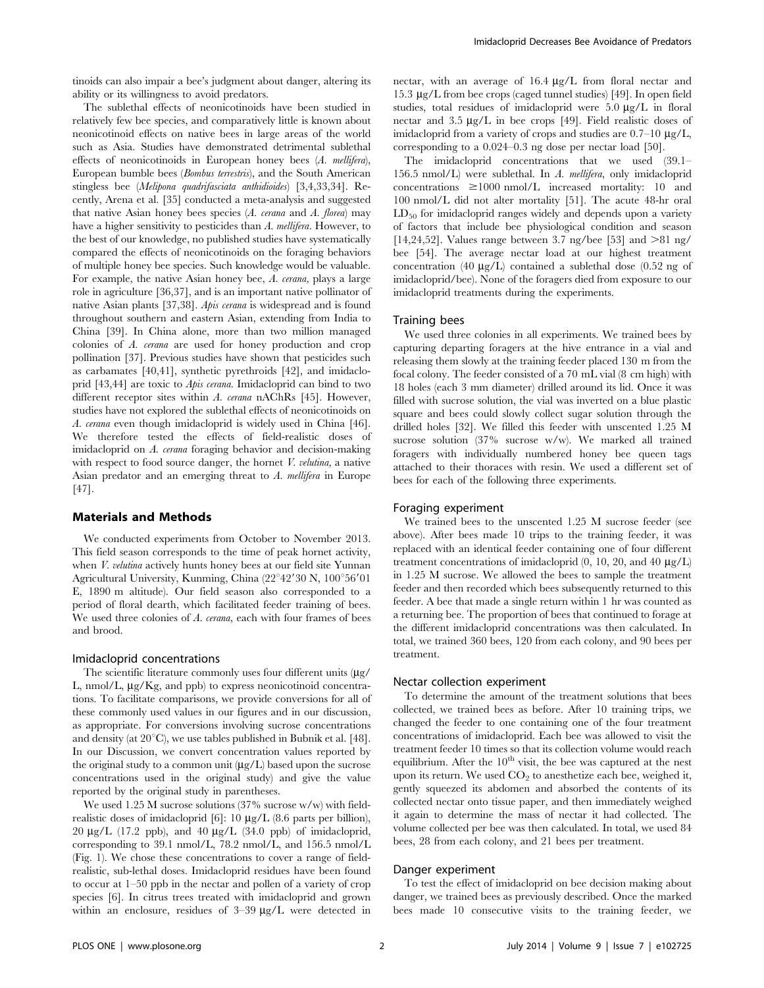tinoids can also impair a bee's judgment about danger, altering its ability or its willingness to avoid predators.

The sublethal effects of neonicotinoids have been studied in relatively few bee species, and comparatively little is known about neonicotinoid effects on native bees in large areas of the world such as Asia. Studies have demonstrated detrimental sublethal effects of neonicotinoids in European honey bees (A. mellifera), European bumble bees (Bombus terrestris), and the South American stingless bee (Melipona quadrifasciata anthidioides) [3,4,33,34]. Recently, Arena et al. [35] conducted a meta-analysis and suggested that native Asian honey bees species  $(A. \text{ cerana and } A. \text{ florea})$  may have a higher sensitivity to pesticides than A. mellifera. However, to the best of our knowledge, no published studies have systematically compared the effects of neonicotinoids on the foraging behaviors of multiple honey bee species. Such knowledge would be valuable. For example, the native Asian honey bee, A. cerana, plays a large role in agriculture [36,37], and is an important native pollinator of native Asian plants [37,38]. Apis cerana is widespread and is found throughout southern and eastern Asian, extending from India to China [39]. In China alone, more than two million managed colonies of A. cerana are used for honey production and crop pollination [37]. Previous studies have shown that pesticides such as carbamates [40,41], synthetic pyrethroids [42], and imidacloprid [43,44] are toxic to Apis cerana. Imidacloprid can bind to two different receptor sites within A. cerana nAChRs [45]. However, studies have not explored the sublethal effects of neonicotinoids on A. cerana even though imidacloprid is widely used in China [46]. We therefore tested the effects of field-realistic doses of imidacloprid on A. cerana foraging behavior and decision-making with respect to food source danger, the hornet  $V$ . *velutina*, a native Asian predator and an emerging threat to A. mellifera in Europe [47].

# Materials and Methods

We conducted experiments from October to November 2013. This field season corresponds to the time of peak hornet activity, when *V. velutina* actively hunts honey bees at our field site Yunnan Agricultural University, Kunming, China (22°42'30 N, 100°56'01 E, 1890 m altitude). Our field season also corresponded to a period of floral dearth, which facilitated feeder training of bees. We used three colonies of A. cerana, each with four frames of bees and brood.

# Imidacloprid concentrations

The scientific literature commonly uses four different units  $(\mu g)$ L, nmol/L,  $\mu$ g/Kg, and ppb) to express neonicotinoid concentrations. To facilitate comparisons, we provide conversions for all of these commonly used values in our figures and in our discussion, as appropriate. For conversions involving sucrose concentrations and density (at  $20^{\circ}$ C), we use tables published in Bubnik et al. [48]. In our Discussion, we convert concentration values reported by the original study to a common unit  $(\mu g/L)$  based upon the sucrose concentrations used in the original study) and give the value reported by the original study in parentheses.

We used 1.25 M sucrose solutions (37% sucrose w/w) with fieldrealistic doses of imidacloprid [6]:  $10 \mu g/L$  (8.6 parts per billion),  $20 \text{ }\mu\text{g/L}$  (17.2 ppb), and  $40 \text{ }\mu\text{g/L}$  (34.0 ppb) of imidacloprid, corresponding to 39.1 nmol/L, 78.2 nmol/L, and 156.5 nmol/L (Fig. 1). We chose these concentrations to cover a range of fieldrealistic, sub-lethal doses. Imidacloprid residues have been found to occur at 1–50 ppb in the nectar and pollen of a variety of crop species [6]. In citrus trees treated with imidacloprid and grown within an enclosure, residues of  $3-39 \mu g/L$  were detected in nectar, with an average of  $16.4 \mu g/L$  from floral nectar and 15.3 mg/L from bee crops (caged tunnel studies) [49]. In open field studies, total residues of imidacloprid were  $5.0 \mu g/L$  in floral nectar and  $3.5 \mu g/L$  in bee crops [49]. Field realistic doses of imidacloprid from a variety of crops and studies are  $0.7-10 \mu g/L$ , corresponding to a 0.024–0.3 ng dose per nectar load [50].

The imidacloprid concentrations that we used (39.1– 156.5 nmol/L) were sublethal. In A. mellifera, only imidacloprid concentrations  $\geq 1000$  nmol/L increased mortality: 10 and 100 nmol/L did not alter mortality [51]. The acute 48-hr oral  $LD_{50}$  for imidacloprid ranges widely and depends upon a variety of factors that include bee physiological condition and season [14,24,52]. Values range between 3.7 ng/bee [53] and  $>81$  ng/ bee [54]. The average nectar load at our highest treatment concentration (40  $\mu$ g/L) contained a sublethal dose (0.52 ng of imidacloprid/bee). None of the foragers died from exposure to our imidacloprid treatments during the experiments.

# Training bees

We used three colonies in all experiments. We trained bees by capturing departing foragers at the hive entrance in a vial and releasing them slowly at the training feeder placed 130 m from the focal colony. The feeder consisted of a 70 mL vial (8 cm high) with 18 holes (each 3 mm diameter) drilled around its lid. Once it was filled with sucrose solution, the vial was inverted on a blue plastic square and bees could slowly collect sugar solution through the drilled holes [32]. We filled this feeder with unscented 1.25 M sucrose solution (37% sucrose w/w). We marked all trained foragers with individually numbered honey bee queen tags attached to their thoraces with resin. We used a different set of bees for each of the following three experiments.

# Foraging experiment

We trained bees to the unscented 1.25 M sucrose feeder (see above). After bees made 10 trips to the training feeder, it was replaced with an identical feeder containing one of four different treatment concentrations of imidacloprid  $(0, 10, 20, \text{ and } 40 \text{ }\mu\text{g/L})$ in 1.25 M sucrose. We allowed the bees to sample the treatment feeder and then recorded which bees subsequently returned to this feeder. A bee that made a single return within 1 hr was counted as a returning bee. The proportion of bees that continued to forage at the different imidacloprid concentrations was then calculated. In total, we trained 360 bees, 120 from each colony, and 90 bees per treatment.

# Nectar collection experiment

To determine the amount of the treatment solutions that bees collected, we trained bees as before. After 10 training trips, we changed the feeder to one containing one of the four treatment concentrations of imidacloprid. Each bee was allowed to visit the treatment feeder 10 times so that its collection volume would reach equilibrium. After the  $10<sup>th</sup>$  visit, the bee was captured at the nest upon its return. We used  $CO<sub>2</sub>$  to anesthetize each bee, weighed it, gently squeezed its abdomen and absorbed the contents of its collected nectar onto tissue paper, and then immediately weighed it again to determine the mass of nectar it had collected. The volume collected per bee was then calculated. In total, we used 84 bees, 28 from each colony, and 21 bees per treatment.

# Danger experiment

To test the effect of imidacloprid on bee decision making about danger, we trained bees as previously described. Once the marked bees made 10 consecutive visits to the training feeder, we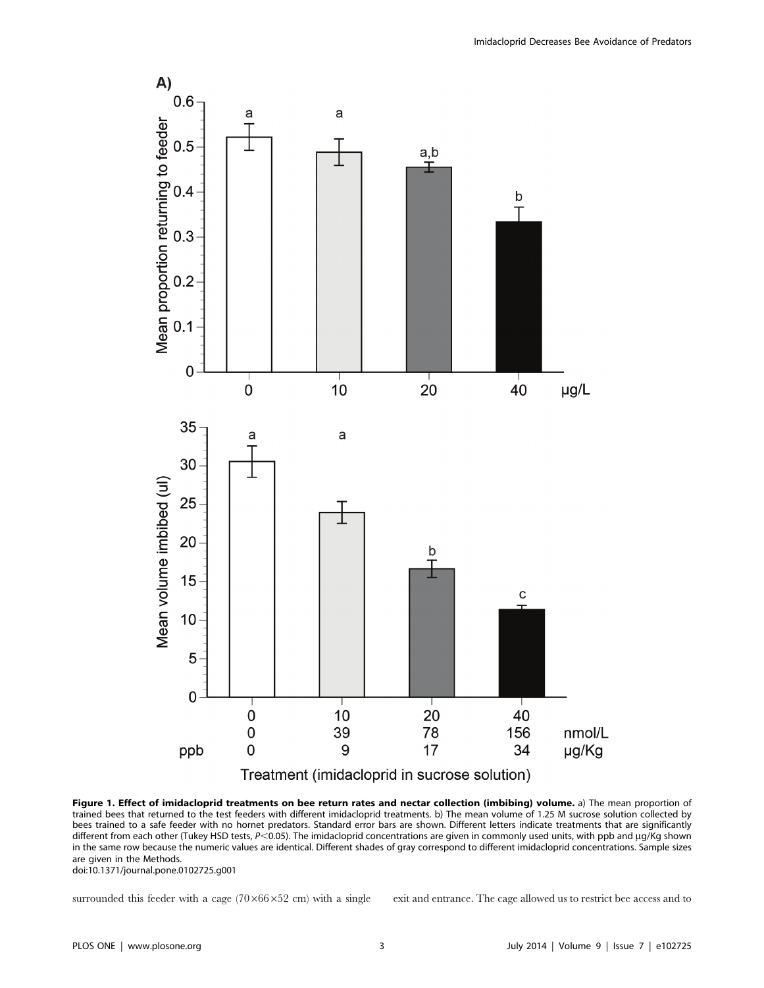

Figure 1. Effect of imidacloprid treatments on bee return rates and nectar collection (imbibing) volume. a) The mean proportion of trained bees that returned to the test feeders with different imidacloprid treatments. b) The mean volume of 1.25 M sucrose solution collected by bees trained to a safe feeder with no hornet predators. Standard error bars are shown. Different letters indicate treatments that are significantly different from each other (Tukey HSD tests,  $P \le 0.05$ ). The imidacloprid concentrations are given in commonly used units, with ppb and  $\mu$ g/Kg shown in the same row because the numeric values are identical. Different shades of gray correspond to different imidacloprid concentrations. Sample sizes are given in the Methods.

doi:10.1371/journal.pone.0102725.g001

surrounded this feeder with a cage  $(70\times66\times52 \text{ cm})$  with a single exit and entrance. The cage allowed us to restrict bee access and to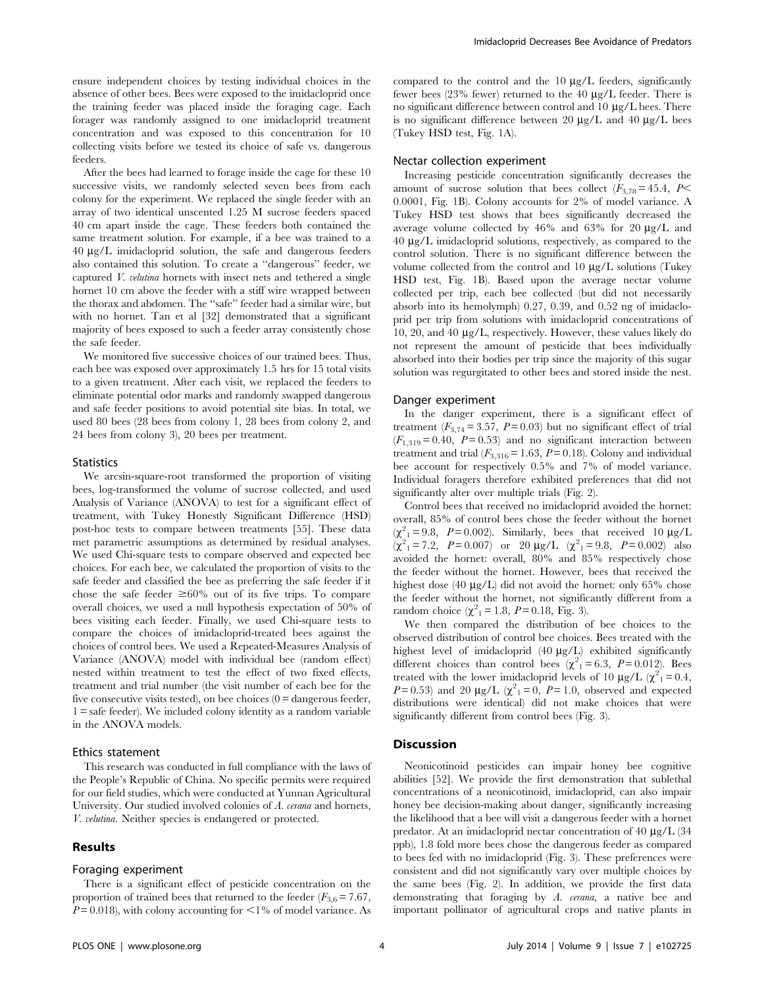ensure independent choices by testing individual choices in the absence of other bees. Bees were exposed to the imidacloprid once the training feeder was placed inside the foraging cage. Each forager was randomly assigned to one imidacloprid treatment concentration and was exposed to this concentration for 10 collecting visits before we tested its choice of safe vs. dangerous feeders.

After the bees had learned to forage inside the cage for these 10 successive visits, we randomly selected seven bees from each colony for the experiment. We replaced the single feeder with an array of two identical unscented 1.25 M sucrose feeders spaced 40 cm apart inside the cage. These feeders both contained the same treatment solution. For example, if a bee was trained to a 40 mg/L imidacloprid solution, the safe and dangerous feeders also contained this solution. To create a ''dangerous'' feeder, we captured V. velutina hornets with insect nets and tethered a single hornet 10 cm above the feeder with a stiff wire wrapped between the thorax and abdomen. The ''safe'' feeder had a similar wire, but with no hornet. Tan et al [32] demonstrated that a significant majority of bees exposed to such a feeder array consistently chose the safe feeder.

We monitored five successive choices of our trained bees. Thus, each bee was exposed over approximately 1.5 hrs for 15 total visits to a given treatment. After each visit, we replaced the feeders to eliminate potential odor marks and randomly swapped dangerous and safe feeder positions to avoid potential site bias. In total, we used 80 bees (28 bees from colony 1, 28 bees from colony 2, and 24 bees from colony 3), 20 bees per treatment.

# **Statistics**

We arcsin-square-root transformed the proportion of visiting bees, log-transformed the volume of sucrose collected, and used Analysis of Variance (ANOVA) to test for a significant effect of treatment, with Tukey Honestly Significant Difference (HSD) post-hoc tests to compare between treatments [55]. These data met parametric assumptions as determined by residual analyses. We used Chi-square tests to compare observed and expected bee choices. For each bee, we calculated the proportion of visits to the safe feeder and classified the bee as preferring the safe feeder if it chose the safe feeder  $\geq 60\%$  out of its five trips. To compare overall choices, we used a null hypothesis expectation of 50% of bees visiting each feeder. Finally, we used Chi-square tests to compare the choices of imidacloprid-treated bees against the choices of control bees. We used a Repeated-Measures Analysis of Variance (ANOVA) model with individual bee (random effect) nested within treatment to test the effect of two fixed effects, treatment and trial number (the visit number of each bee for the five consecutive visits tested), on bee choices  $(0 =$  dangerous feeder, 1 = safe feeder). We included colony identity as a random variable in the ANOVA models.

#### Ethics statement

This research was conducted in full compliance with the laws of the People's Republic of China. No specific permits were required for our field studies, which were conducted at Yunnan Agricultural University. Our studied involved colonies of A. cerana and hornets, V. velutina. Neither species is endangered or protected.

# Results

# Foraging experiment

There is a significant effect of pesticide concentration on the proportion of trained bees that returned to the feeder  $(F_{3,6}= 7.67,$  $P = 0.018$ ), with colony accounting for  $\leq 1\%$  of model variance. As compared to the control and the  $10 \mu g/L$  feeders, significantly fewer bees  $(23\%$  fewer) returned to the 40  $\mu$ g/L feeder. There is no significant difference between control and  $10 \mu g/L$  bees. There is no significant difference between 20  $\mu$ g/L and 40  $\mu$ g/L bees (Tukey HSD test, Fig. 1A).

# Nectar collection experiment

Increasing pesticide concentration significantly decreases the amount of sucrose solution that bees collect  $(F_{3,78}=45.4, P<$ 0.0001, Fig. 1B). Colony accounts for 2% of model variance. A Tukey HSD test shows that bees significantly decreased the average volume collected by  $46\%$  and  $63\%$  for 20  $\mu$ g/L and  $40 \mu g/L$  imidacloprid solutions, respectively, as compared to the control solution. There is no significant difference between the volume collected from the control and  $10 \mu g/L$  solutions (Tukey HSD test, Fig. 1B). Based upon the average nectar volume collected per trip, each bee collected (but did not necessarily absorb into its hemolymph) 0.27, 0.39, and 0.52 ng of imidacloprid per trip from solutions with imidacloprid concentrations of 10, 20, and 40  $\mu$ g/L, respectively. However, these values likely do not represent the amount of pesticide that bees individually absorbed into their bodies per trip since the majority of this sugar solution was regurgitated to other bees and stored inside the nest.

# Danger experiment

In the danger experiment, there is a significant effect of treatment ( $F_{3,74}$  = 3.57, P = 0.03) but no significant effect of trial  $(F<sub>1,319</sub> = 0.40, P = 0.53)$  and no significant interaction between treatment and trial  $(F_{3,316} = 1.63, P = 0.18)$ . Colony and individual bee account for respectively 0.5% and 7% of model variance. Individual foragers therefore exhibited preferences that did not significantly alter over multiple trials (Fig. 2).

Control bees that received no imidacloprid avoided the hornet: overall, 85% of control bees chose the feeder without the hornet  $(\chi^2_{1} = 9.8, P = 0.002)$ . Similarly, bees that received 10  $\mu$ g/L  $(\chi^2_{1} = 7.2, P = 0.007)$  or 20  $\mu g/L$   $(\chi^2_{1} = 9.8, P = 0.002)$  also avoided the hornet: overall, 80% and 85% respectively chose the feeder without the hornet. However, bees that received the highest dose  $(40 \mu g/L)$  did not avoid the hornet: only 65% chose the feeder without the hornet, not significantly different from a random choice  $(\chi^2_{1} = 1.8, P = 0.18, \text{Fig. 3}).$ 

We then compared the distribution of bee choices to the observed distribution of control bee choices. Bees treated with the highest level of imidacloprid  $(40 \mu g/L)$  exhibited significantly different choices than control bees  $(\chi^2_1 = 6.3, P = 0.012)$ . Bees treated with the lower imidacloprid levels of 10  $\mu$ g/L ( $\chi^2$ <sub>1</sub> = 0.4,  $P=0.53$ ) and 20  $\mu$ g/L ( $\chi^2$ <sub>1</sub> = 0,  $P=1.0$ , observed and expected distributions were identical) did not make choices that were significantly different from control bees (Fig. 3).

# Discussion

Neonicotinoid pesticides can impair honey bee cognitive abilities [52]. We provide the first demonstration that sublethal concentrations of a neonicotinoid, imidacloprid, can also impair honey bee decision-making about danger, significantly increasing the likelihood that a bee will visit a dangerous feeder with a hornet predator. At an imidacloprid nectar concentration of  $40 \mu g/L$  (34 ppb), 1.8 fold more bees chose the dangerous feeder as compared to bees fed with no imidacloprid (Fig. 3). These preferences were consistent and did not significantly vary over multiple choices by the same bees (Fig. 2). In addition, we provide the first data demonstrating that foraging by A. cerana, a native bee and important pollinator of agricultural crops and native plants in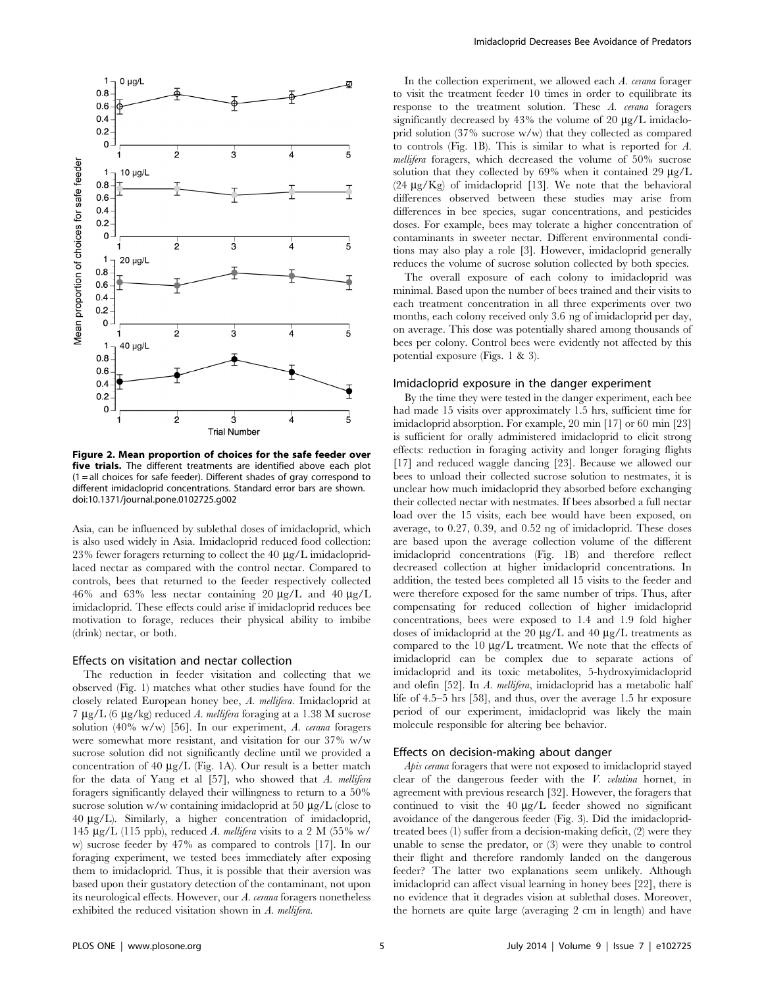

Figure 2. Mean proportion of choices for the safe feeder over five trials. The different treatments are identified above each plot  $(1 = all choices for safe feeder)$ . Different shades of gray correspond to different imidacloprid concentrations. Standard error bars are shown. doi:10.1371/journal.pone.0102725.g002

Asia, can be influenced by sublethal doses of imidacloprid, which is also used widely in Asia. Imidacloprid reduced food collection: 23% fewer foragers returning to collect the 40  $\mu$ g/L imidaclopridlaced nectar as compared with the control nectar. Compared to controls, bees that returned to the feeder respectively collected 46% and 63% less nectar containing 20  $\mu$ g/L and 40  $\mu$ g/L imidacloprid. These effects could arise if imidacloprid reduces bee motivation to forage, reduces their physical ability to imbibe (drink) nectar, or both.

# Effects on visitation and nectar collection

The reduction in feeder visitation and collecting that we observed (Fig. 1) matches what other studies have found for the closely related European honey bee, A. mellifera. Imidacloprid at 7  $\mu$ g/L (6  $\mu$ g/kg) reduced A. mellifera foraging at a 1.38 M sucrose solution (40% w/w) [56]. In our experiment, A. cerana foragers were somewhat more resistant, and visitation for our 37% w/w sucrose solution did not significantly decline until we provided a concentration of 40  $\mu$ g/L (Fig. 1A). Our result is a better match for the data of Yang et al  $[57]$ , who showed that A. mellifera foragers significantly delayed their willingness to return to a 50% sucrose solution w/w containing imidacloprid at 50  $\mu$ g/L (close to 40 mg/L). Similarly, a higher concentration of imidacloprid, 145  $\mu$ g/L (115 ppb), reduced A. mellifera visits to a 2 M (55% w/ w) sucrose feeder by 47% as compared to controls [17]. In our foraging experiment, we tested bees immediately after exposing them to imidacloprid. Thus, it is possible that their aversion was based upon their gustatory detection of the contaminant, not upon its neurological effects. However, our A. cerana foragers nonetheless exhibited the reduced visitation shown in A. mellifera.

In the collection experiment, we allowed each A. cerana forager to visit the treatment feeder 10 times in order to equilibrate its response to the treatment solution. These A. cerana foragers significantly decreased by  $43\%$  the volume of  $20 \mu g/L$  imidacloprid solution (37% sucrose w/w) that they collected as compared to controls (Fig. 1B). This is similar to what is reported for A. mellifera foragers, which decreased the volume of 50% sucrose solution that they collected by  $69\%$  when it contained 29  $\mu$ g/L  $(24 \mu g/Kg)$  of imidacloprid [13]. We note that the behavioral differences observed between these studies may arise from differences in bee species, sugar concentrations, and pesticides doses. For example, bees may tolerate a higher concentration of contaminants in sweeter nectar. Different environmental conditions may also play a role [3]. However, imidacloprid generally reduces the volume of sucrose solution collected by both species.

The overall exposure of each colony to imidacloprid was minimal. Based upon the number of bees trained and their visits to each treatment concentration in all three experiments over two months, each colony received only 3.6 ng of imidacloprid per day, on average. This dose was potentially shared among thousands of bees per colony. Control bees were evidently not affected by this potential exposure (Figs. 1 & 3).

# Imidacloprid exposure in the danger experiment

By the time they were tested in the danger experiment, each bee had made 15 visits over approximately 1.5 hrs, sufficient time for imidacloprid absorption. For example, 20 min [17] or 60 min [23] is sufficient for orally administered imidacloprid to elicit strong effects: reduction in foraging activity and longer foraging flights [17] and reduced waggle dancing [23]. Because we allowed our bees to unload their collected sucrose solution to nestmates, it is unclear how much imidacloprid they absorbed before exchanging their collected nectar with nestmates. If bees absorbed a full nectar load over the 15 visits, each bee would have been exposed, on average, to 0.27, 0.39, and 0.52 ng of imidacloprid. These doses are based upon the average collection volume of the different imidacloprid concentrations (Fig. 1B) and therefore reflect decreased collection at higher imidacloprid concentrations. In addition, the tested bees completed all 15 visits to the feeder and were therefore exposed for the same number of trips. Thus, after compensating for reduced collection of higher imidacloprid concentrations, bees were exposed to 1.4 and 1.9 fold higher doses of imidacloprid at the 20  $\mu$ g/L and 40  $\mu$ g/L treatments as compared to the  $10 \mu g/L$  treatment. We note that the effects of imidacloprid can be complex due to separate actions of imidacloprid and its toxic metabolites, 5-hydroxyimidacloprid and olefin [52]. In A. mellifera, imidacloprid has a metabolic half life of 4.5–5 hrs [58], and thus, over the average 1.5 hr exposure period of our experiment, imidacloprid was likely the main molecule responsible for altering bee behavior.

#### Effects on decision-making about danger

Apis cerana foragers that were not exposed to imidacloprid stayed clear of the dangerous feeder with the V. velutina hornet, in agreement with previous research [32]. However, the foragers that continued to visit the  $40 \mu g/L$  feeder showed no significant avoidance of the dangerous feeder (Fig. 3). Did the imidaclopridtreated bees (1) suffer from a decision-making deficit, (2) were they unable to sense the predator, or (3) were they unable to control their flight and therefore randomly landed on the dangerous feeder? The latter two explanations seem unlikely. Although imidacloprid can affect visual learning in honey bees [22], there is no evidence that it degrades vision at sublethal doses. Moreover, the hornets are quite large (averaging 2 cm in length) and have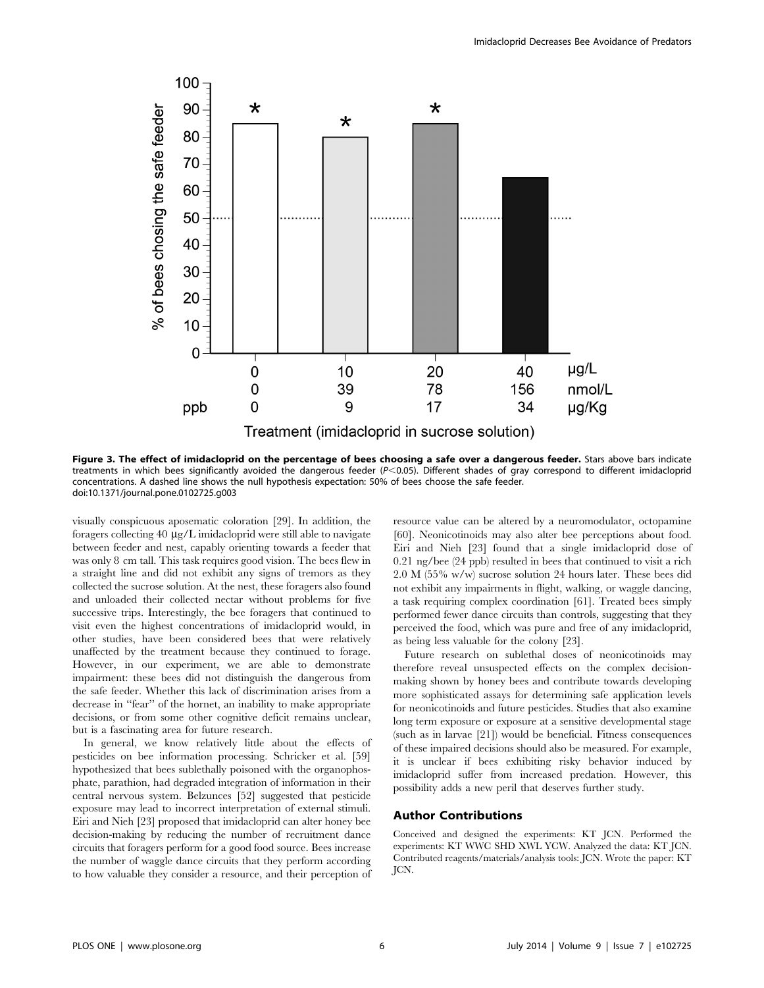

Figure 3. The effect of imidacloprid on the percentage of bees choosing a safe over a dangerous feeder. Stars above bars indicate treatments in which bees significantly avoided the dangerous feeder  $(P<0.05)$ . Different shades of gray correspond to different imidacloprid concentrations. A dashed line shows the null hypothesis expectation: 50% of bees choose the safe feeder. doi:10.1371/journal.pone.0102725.g003

visually conspicuous aposematic coloration [29]. In addition, the foragers collecting  $40 \mu g/L$  imidacloprid were still able to navigate between feeder and nest, capably orienting towards a feeder that was only 8 cm tall. This task requires good vision. The bees flew in a straight line and did not exhibit any signs of tremors as they collected the sucrose solution. At the nest, these foragers also found and unloaded their collected nectar without problems for five successive trips. Interestingly, the bee foragers that continued to visit even the highest concentrations of imidacloprid would, in other studies, have been considered bees that were relatively unaffected by the treatment because they continued to forage. However, in our experiment, we are able to demonstrate impairment: these bees did not distinguish the dangerous from the safe feeder. Whether this lack of discrimination arises from a decrease in ''fear'' of the hornet, an inability to make appropriate decisions, or from some other cognitive deficit remains unclear, but is a fascinating area for future research.

In general, we know relatively little about the effects of pesticides on bee information processing. Schricker et al. [59] hypothesized that bees sublethally poisoned with the organophosphate, parathion, had degraded integration of information in their central nervous system. Belzunces [52] suggested that pesticide exposure may lead to incorrect interpretation of external stimuli. Eiri and Nieh [23] proposed that imidacloprid can alter honey bee decision-making by reducing the number of recruitment dance circuits that foragers perform for a good food source. Bees increase the number of waggle dance circuits that they perform according to how valuable they consider a resource, and their perception of

resource value can be altered by a neuromodulator, octopamine [60]. Neonicotinoids may also alter bee perceptions about food. Eiri and Nieh [23] found that a single imidacloprid dose of 0.21 ng/bee (24 ppb) resulted in bees that continued to visit a rich 2.0 M (55% w/w) sucrose solution 24 hours later. These bees did not exhibit any impairments in flight, walking, or waggle dancing, a task requiring complex coordination [61]. Treated bees simply performed fewer dance circuits than controls, suggesting that they perceived the food, which was pure and free of any imidacloprid, as being less valuable for the colony [23].

Future research on sublethal doses of neonicotinoids may therefore reveal unsuspected effects on the complex decisionmaking shown by honey bees and contribute towards developing more sophisticated assays for determining safe application levels for neonicotinoids and future pesticides. Studies that also examine long term exposure or exposure at a sensitive developmental stage (such as in larvae [21]) would be beneficial. Fitness consequences of these impaired decisions should also be measured. For example, it is unclear if bees exhibiting risky behavior induced by imidacloprid suffer from increased predation. However, this possibility adds a new peril that deserves further study.

# Author Contributions

Conceived and designed the experiments: KT JCN. Performed the experiments: KT WWC SHD XWL YCW. Analyzed the data: KT JCN. Contributed reagents/materials/analysis tools: JCN. Wrote the paper: KT JCN.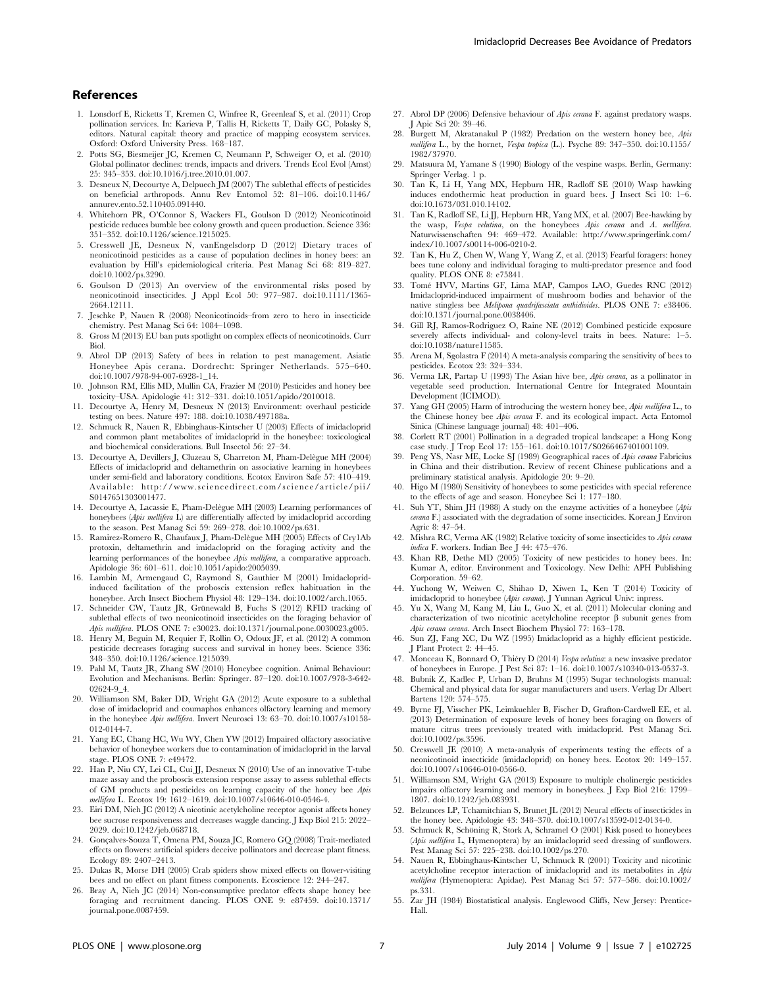# References

- 1. Lonsdorf E, Ricketts T, Kremen C, Winfree R, Greenleaf S, et al. (2011) Crop pollination services. In: Karieva P, Tallis H, Ricketts T, Daily GC, Polasky S, editors. Natural capital: theory and practice of mapping ecosystem services. Oxford: Oxford University Press. 168–187.
- 2. Potts SG, Biesmeijer JC, Kremen C, Neumann P, Schweiger O, et al. (2010) Global pollinator declines: trends, impacts and drivers. Trends Ecol Evol (Amst) 25: 345–353. doi:10.1016/j.tree.2010.01.007.
- 3. Desneux N, Decourtye A, Delpuech JM (2007) The sublethal effects of pesticides on beneficial arthropods. Annu Rev Entomol 52: 81–106. doi:10.1146/ annurev.ento.52.110405.091440.
- 4. Whitehorn PR, O'Connor S, Wackers FL, Goulson D (2012) Neonicotinoid pesticide reduces bumble bee colony growth and queen production. Science 336: 351–352. doi:10.1126/science.1215025.
- 5. Cresswell JE, Desneux N, vanEngelsdorp D (2012) Dietary traces of neonicotinoid pesticides as a cause of population declines in honey bees: an evaluation by Hill's epidemiological criteria. Pest Manag Sci 68: 819–827. doi:10.1002/ps.3290.
- 6. Goulson D (2013) An overview of the environmental risks posed by neonicotinoid insecticides. J Appl Ecol 50: 977–987. doi:10.1111/1365- 2664.12111.
- 7. Jeschke P, Nauen R (2008) Neonicotinoids–from zero to hero in insecticide chemistry. Pest Manag Sci 64: 1084–1098.
- 8. Gross M (2013) EU ban puts spotlight on complex effects of neonicotinoids. Curr Biol.
- 9. Abrol DP (2013) Safety of bees in relation to pest management. Asiatic Honeybee Apis cerana. Dordrecht: Springer Netherlands. 575–640. doi:10.1007/978-94-007-6928-1\_14.
- 10. Johnson RM, Ellis MD, Mullin CA, Frazier M (2010) Pesticides and honey bee toxicity–USA. Apidologie 41: 312–331. doi:10.1051/apido/2010018.
- 11. Decourtye A, Henry M, Desneux N (2013) Environment: overhaul pesticide testing on bees. Nature 497: 188. doi:10.1038/497188a.
- 12. Schmuck R, Nauen R, Ebbinghaus-Kintscher U (2003) Effects of imidacloprid and common plant metabolites of imidacloprid in the honeybee: toxicological and biochemical considerations. Bull Insectol 56: 27–34.
- 13. Decourtye A, Devillers J, Cluzeau S, Charreton M, Pham-Delègue MH (2004) Effects of imidacloprid and deltamethrin on associative learning in honeybees under semi-field and laboratory conditions. Ecotox Environ Safe 57: 410–419. Available: http://www.sciencedirect.com/science/article/pii/ S0147651303001477.
- 14. Decourtye A, Lacassie E, Pham-Delègue MH (2003) Learning performances of honeybees (Apis mellifera L) are differentially affected by imidacloprid according to the season. Pest Manag Sci 59: 269–278. doi:10.1002/ps.631.
- 15. Ramirez-Romero R, Chaufaux J, Pham-Delègue MH (2005) Effects of Cry1Ab protoxin, deltamethrin and imidacloprid on the foraging activity and the learning performances of the honeybee Apis mellifera, a comparative approach. Apidologie 36: 601–611. doi:10.1051/apido:2005039.
- 16. Lambin M, Armengaud C, Raymond S, Gauthier M (2001) Imidaclopridinduced facilitation of the proboscis extension reflex habituation in the honeybee. Arch Insect Biochem Physiol 48: 129–134. doi:10.1002/arch.1065.
- 17. Schneider CW, Tautz JR, Grünewald B, Fuchs S (2012) RFID tracking of sublethal effects of two neonicotinoid insecticides on the foraging behavior of Apis mellifera. PLOS ONE 7: e30023. doi:10.1371/journal.pone.0030023.g005.
- 18. Henry M, Beguin M, Requier F, Rollin O, Odoux JF, et al. (2012) A common pesticide decreases foraging success and survival in honey bees. Science 336: 348–350. doi:10.1126/science.1215039.
- 19. Pahl M, Tautz JR, Zhang SW (2010) Honeybee cognition. Animal Behaviour: Evolution and Mechanisms. Berlin: Springer. 87–120. doi:10.1007/978-3-642- 02624-9\_4.
- 20. Williamson SM, Baker DD, Wright GA (2012) Acute exposure to a sublethal dose of imidacloprid and coumaphos enhances olfactory learning and memory in the honeybee Apis mellifera. Invert Neurosci 13: 63–70. doi:10.1007/s10158- 012-0144-7.
- 21. Yang EC, Chang HC, Wu WY, Chen YW (2012) Impaired olfactory associative behavior of honeybee workers due to contamination of imidacloprid in the larval stage. PLOS ONE 7: e49472.
- 22. Han P, Niu CY, Lei CL, Cui JJ, Desneux N (2010) Use of an innovative T-tube maze assay and the proboscis extension response assay to assess sublethal effects of GM products and pesticides on learning capacity of the honey bee Apis mellifera L. Ecotox 19: 1612–1619. doi:10.1007/s10646-010-0546-4.
- 23. Eiri DM, Nieh JC (2012) A nicotinic acetylcholine receptor agonist affects honey bee sucrose responsiveness and decreases waggle dancing. J Exp Biol 215: 2022– 2029. doi:10.1242/jeb.068718.
- 24. Gonçalves-Souza T, Omena PM, Souza JC, Romero GQ (2008) Trait-mediated effects on flowers: artificial spiders deceive pollinators and decrease plant fitness. Ecology 89: 2407–2413.
- 25. Dukas R, Morse DH (2005) Crab spiders show mixed effects on flower-visiting bees and no effect on plant fitness components. Ecoscience 12: 244–247.
- 26. Bray A, Nieh JC (2014) Non-consumptive predator effects shape honey bee foraging and recruitment dancing. PLOS ONE 9: e87459. doi:10.1371/ journal.pone.0087459.
- 27. Abrol DP (2006) Defensive behaviour of Apis cerana F. against predatory wasps. J Apic Sci 20: 39–46.
- 28. Burgett M, Akratanakul P (1982) Predation on the western honey bee, Apis mellifera L., by the hornet, Vespa tropica (L.). Psyche 89: 347–350. doi:10.1155/ 1982/37970.
- 29. Matsuura M, Yamane S (1990) Biology of the vespine wasps. Berlin, Germany: Springer Verlag. 1 p.
- 30. Tan K, Li H, Yang MX, Hepburn HR, Radloff SE (2010) Wasp hawking induces endothermic heat production in guard bees. J Insect Sci 10: 1–6. doi:10.1673/031.010.14102.
- 31. Tan K, Radloff SE, Li JJ, Hepburn HR, Yang MX, et al. (2007) Bee-hawking by the wasp, Vespa velutina, on the honeybees Apis cerana and A. mellifera. Naturwissenschaften 94: 469–472. Available: http://www.springerlink.com/ index/10.1007/s00114-006-0210-2.
- 32. Tan K, Hu Z, Chen W, Wang Y, Wang Z, et al. (2013) Fearful foragers: honey bees tune colony and individual foraging to multi-predator presence and food quality. PLOS ONE 8: e75841.
- 33. Tome´ HVV, Martins GF, Lima MAP, Campos LAO, Guedes RNC (2012) Imidacloprid-induced impairment of mushroom bodies and behavior of the native stingless bee Melipona quadrifasciata anthidioides. PLOS ONE 7: e38406. doi:10.1371/journal.pone.0038406.
- 34. Gill RJ, Ramos-Rodriguez O, Raine NE (2012) Combined pesticide exposure severely affects individual- and colony-level traits in bees. Nature: 1–5. doi:10.1038/nature11585.
- 35. Arena M, Sgolastra F (2014) A meta-analysis comparing the sensitivity of bees to pesticides. Ecotox 23: 324–334.
- 36. Verma LR, Partap U (1993) The Asian hive bee, Apis cerana, as a pollinator in vegetable seed production. International Centre for Integrated Mountain Development (ICIMOD).
- 37. Yang GH (2005) Harm of introducing the western honey bee, Apis mellifera L., to the Chinese honey bee Apis cerana F. and its ecological impact. Acta Entomol Sinica (Chinese language journal) 48: 401–406.
- 38. Corlett RT (2001) Pollination in a degraded tropical landscape: a Hong Kong case study. J Trop Ecol 17: 155–161. doi:10.1017/S0266467401001109.
- 39. Peng YS, Nasr ME, Locke SJ (1989) Geographical races of Apis cerana Fabricius in China and their distribution. Review of recent Chinese publications and a preliminary statistical analysis. Apidologie 20: 9–20.
- 40. Higo M (1980) Sensitivity of honeybees to some pesticides with special reference to the effects of age and season. Honeybee Sci 1: 177–180.
- 41. Suh YT, Shim JH (1988) A study on the enzyme activities of a honeybee (Apis cerana F.) associated with the degradation of some insecticides. Korean J Environ Agric 8: 47–54.
- 42. Mishra RC, Verma AK (1982) Relative toxicity of some insecticides to Apis cerana indica F. workers. Indian Bee J 44: 475–476.
- 43. Khan RB, Dethe MD (2005) Toxicity of new pesticides to honey bees. In: Kumar A, editor. Environment and Toxicology. New Delhi: APH Publishing Corporation. 59–62.
- 44. Yuchong W, Weiwen C, Shihao D, Xiwen L, Ken T (2014) Toxicity of imidacloprid to honeybee (Apis cerana). J Yunnan Agricul Univ: inpress.
- 45. Yu X, Wang M, Kang M, Liu L, Guo X, et al. (2011) Molecular cloning and characterization of two nicotinic acetylcholine receptor  $\beta$  subunit genes from Apis cerana cerana. Arch Insect Biochem Physiol 77: 163–178.
- 46. Sun ZJ, Fang XC, Du WZ (1995) Imidacloprid as a highly efficient pesticide. J Plant Protect 2: 44–45.
- 47. Monceau K, Bonnard O, Thiéry D (2014) Vespa velutina: a new invasive predator of honeybees in Europe. J Pest Sci 87: 1–16. doi:10.1007/s10340-013-0537-3.
- 48. Bubnı´k Z, Kadlec P, Urban D, Bruhns M (1995) Sugar technologists manual: Chemical and physical data for sugar manufacturers and users. Verlag Dr Albert Bartens 120: 574–575.
- 49. Byrne FJ, Visscher PK, Leimkuehler B, Fischer D, Grafton-Cardwell EE, et al. (2013) Determination of exposure levels of honey bees foraging on flowers of mature citrus trees previously treated with imidacloprid. Pest Manag Sci. doi:10.1002/ps.3596.
- 50. Cresswell JE (2010) A meta-analysis of experiments testing the effects of a neonicotinoid insecticide (imidacloprid) on honey bees. Ecotox 20: 149–157. doi:10.1007/s10646-010-0566-0.
- 51. Williamson SM, Wright GA (2013) Exposure to multiple cholinergic pesticides impairs olfactory learning and memory in honeybees. J Exp Biol 216: 1799– 1807. doi:10.1242/jeb.083931.
- 52. Belzunces LP, Tchamitchian S, Brunet JL (2012) Neural effects of insecticides in the honey bee. Apidologie 43: 348–370. doi:10.1007/s13592-012-0134-0.
- 53. Schmuck R, Schöning R, Stork A, Schramel O (2001) Risk posed to honeybees (Apis mellifera L, Hymenoptera) by an imidacloprid seed dressing of sunflowers. Pest Manag Sci 57: 225–238. doi:10.1002/ps.270.
- 54. Nauen R, Ebbinghaus-Kintscher U, Schmuck R (2001) Toxicity and nicotinic acetylcholine receptor interaction of imidacloprid and its metabolites in Apis mellifera (Hymenoptera: Apidae). Pest Manag Sci 57: 577–586. doi:10.1002/ ps.331.
- 55. Zar JH (1984) Biostatistical analysis. Englewood Cliffs, New Jersey: Prentice-Hall.